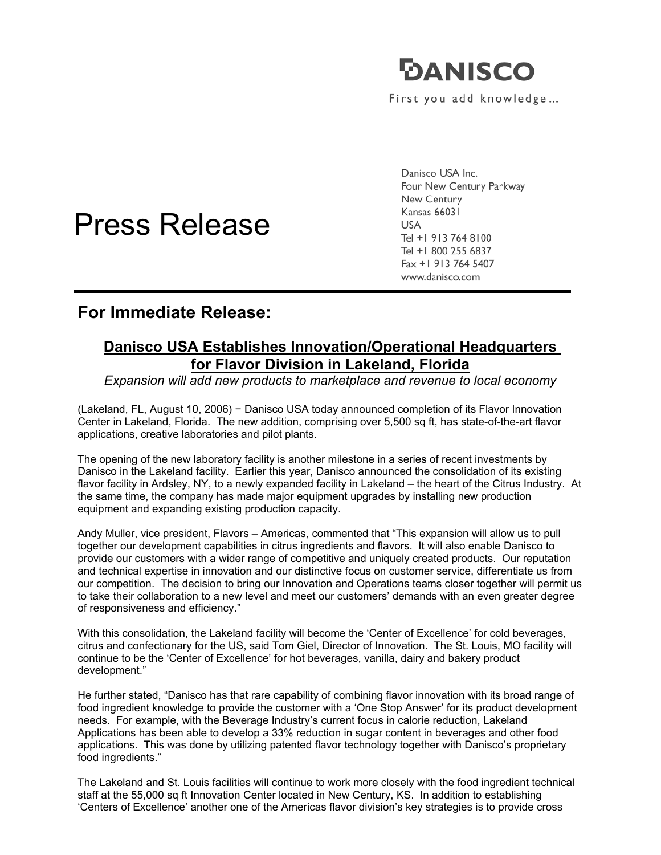

First you add knowledge...



Danisco USA Inc. Four New Century Parkway New Century **Kansas 66031 USA** Tel +1 913 764 8100 Tel +1 800 255 6837 Fax +1 913 764 5407 www.danisco.com

## **For Immediate Release:**

I

## **Danisco USA Establishes Innovation/Operational Headquarters for Flavor Division in Lakeland, Florida**

*Expansion will add new products to marketplace and revenue to local economy* 

(Lakeland, FL, August 10, 2006) − Danisco USA today announced completion of its Flavor Innovation Center in Lakeland, Florida. The new addition, comprising over 5,500 sq ft, has state-of-the-art flavor applications, creative laboratories and pilot plants.

The opening of the new laboratory facility is another milestone in a series of recent investments by Danisco in the Lakeland facility. Earlier this year, Danisco announced the consolidation of its existing flavor facility in Ardsley, NY, to a newly expanded facility in Lakeland – the heart of the Citrus Industry. At the same time, the company has made major equipment upgrades by installing new production equipment and expanding existing production capacity.

Andy Muller, vice president, Flavors – Americas, commented that "This expansion will allow us to pull together our development capabilities in citrus ingredients and flavors. It will also enable Danisco to provide our customers with a wider range of competitive and uniquely created products. Our reputation and technical expertise in innovation and our distinctive focus on customer service, differentiate us from our competition. The decision to bring our Innovation and Operations teams closer together will permit us to take their collaboration to a new level and meet our customers' demands with an even greater degree of responsiveness and efficiency."

With this consolidation, the Lakeland facility will become the 'Center of Excellence' for cold beverages, citrus and confectionary for the US, said Tom Giel, Director of Innovation. The St. Louis, MO facility will continue to be the 'Center of Excellence' for hot beverages, vanilla, dairy and bakery product development."

He further stated, "Danisco has that rare capability of combining flavor innovation with its broad range of food ingredient knowledge to provide the customer with a 'One Stop Answer' for its product development needs. For example, with the Beverage Industry's current focus in calorie reduction, Lakeland Applications has been able to develop a 33% reduction in sugar content in beverages and other food applications. This was done by utilizing patented flavor technology together with Danisco's proprietary food ingredients."

The Lakeland and St. Louis facilities will continue to work more closely with the food ingredient technical staff at the 55,000 sq ft Innovation Center located in New Century, KS. In addition to establishing 'Centers of Excellence' another one of the Americas flavor division's key strategies is to provide cross